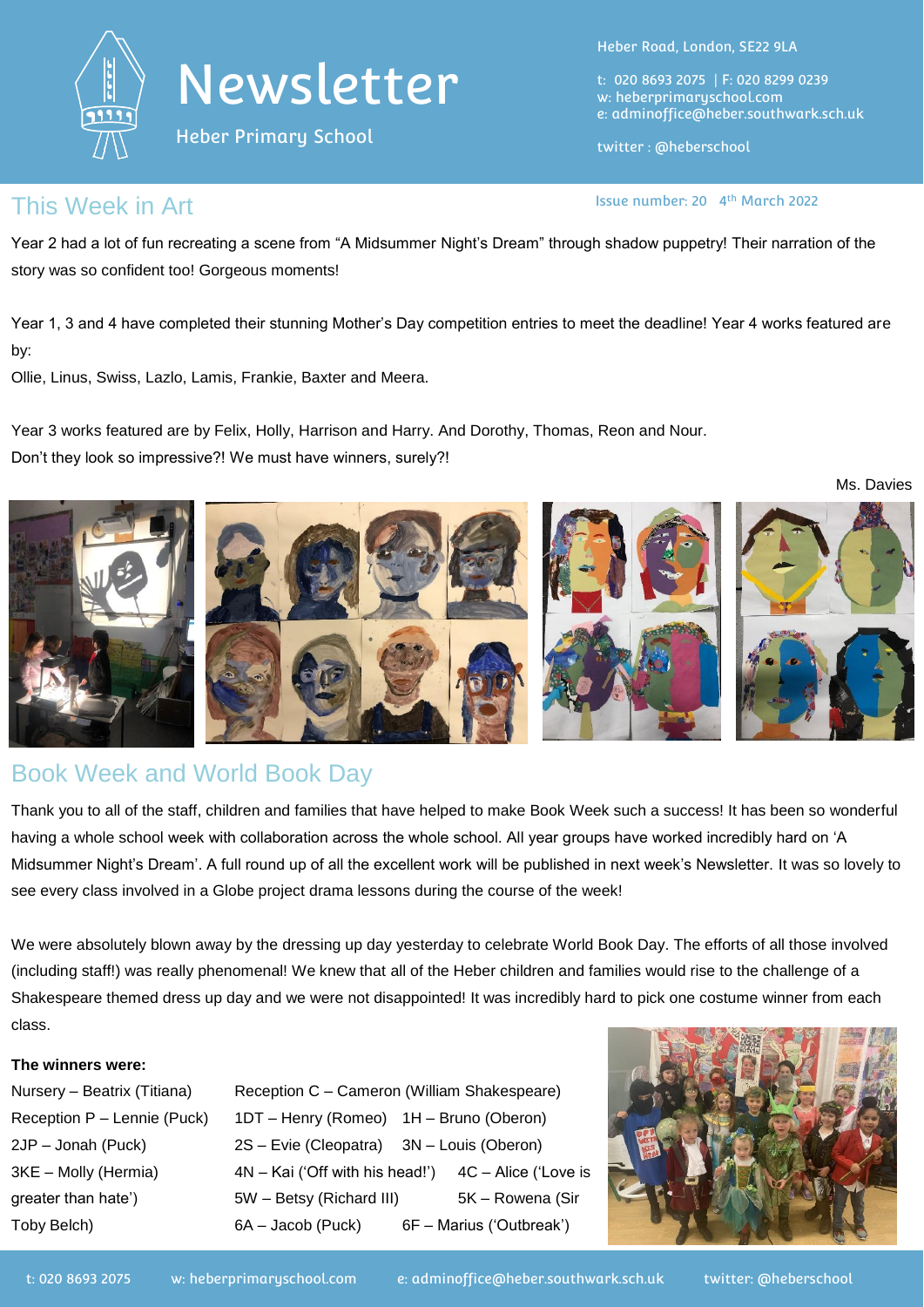



Heber Primary School

Heber Road, London, SE22 9LA

t: 020 8693 2075 | F: 020 8299 0239 w: heberprimaryschool.com e: [adminoffice@heber.southwark.sch.uk](mailto:adminoffice@heber.southwark.sch.uk)

twitter : @heberschool

Issue number: 20 4<sup>th</sup> March 2022

### This Week in Art **Interlate and Art in the USA** Issue number: 20 4

Year 2 had a lot of fun recreating a scene from "A Midsummer Night's Dream" through shadow puppetry! Their narration of the story was so confident too! Gorgeous moments!

Year 1, 3 and 4 have completed their stunning Mother's Day competition entries to meet the deadline! Year 4 works featured are by:

Ollie, Linus, Swiss, Lazlo, Lamis, Frankie, Baxter and Meera.

Year 3 works featured are by Felix, Holly, Harrison and Harry. And Dorothy, Thomas, Reon and Nour. Don't they look so impressive?! We must have winners, surely?!



## Book Week and World Book Day

Thank you to all of the staff, children and families that have helped to make Book Week such a success! It has been so wonderful having a whole school week with collaboration across the whole school. All year groups have worked incredibly hard on 'A Midsummer Night's Dream'. A full round up of all the excellent work will be published in next week's Newsletter. It was so lovely to see every class involved in a Globe project drama lessons during the course of the week!

We were absolutely blown away by the dressing up day yesterday to celebrate World Book Day. The efforts of all those involved (including staff!) was really phenomenal! We knew that all of the Heber children and families would rise to the challenge of a Shakespeare themed dress up day and we were not disappointed! It was incredibly hard to pick one costume winner from each class.

#### **The winners were:**

Nursery – Beatrix (Titiana) Reception C – Cameron (William Shakespeare) Reception P – Lennie (Puck) 1DT – Henry (Romeo) 1H – Bruno (Oberon) 2JP – Jonah (Puck) 2S – Evie (Cleopatra) 3N – Louis (Oberon) 3KE – Molly (Hermia) 4N – Kai ('Off with his head!') 4C – Alice ('Love is greater than hate') 5W – Betsy (Richard III) 5K – Rowena (Sir Toby Belch) 6A – Jacob (Puck) 6F – Marius ('Outbreak')

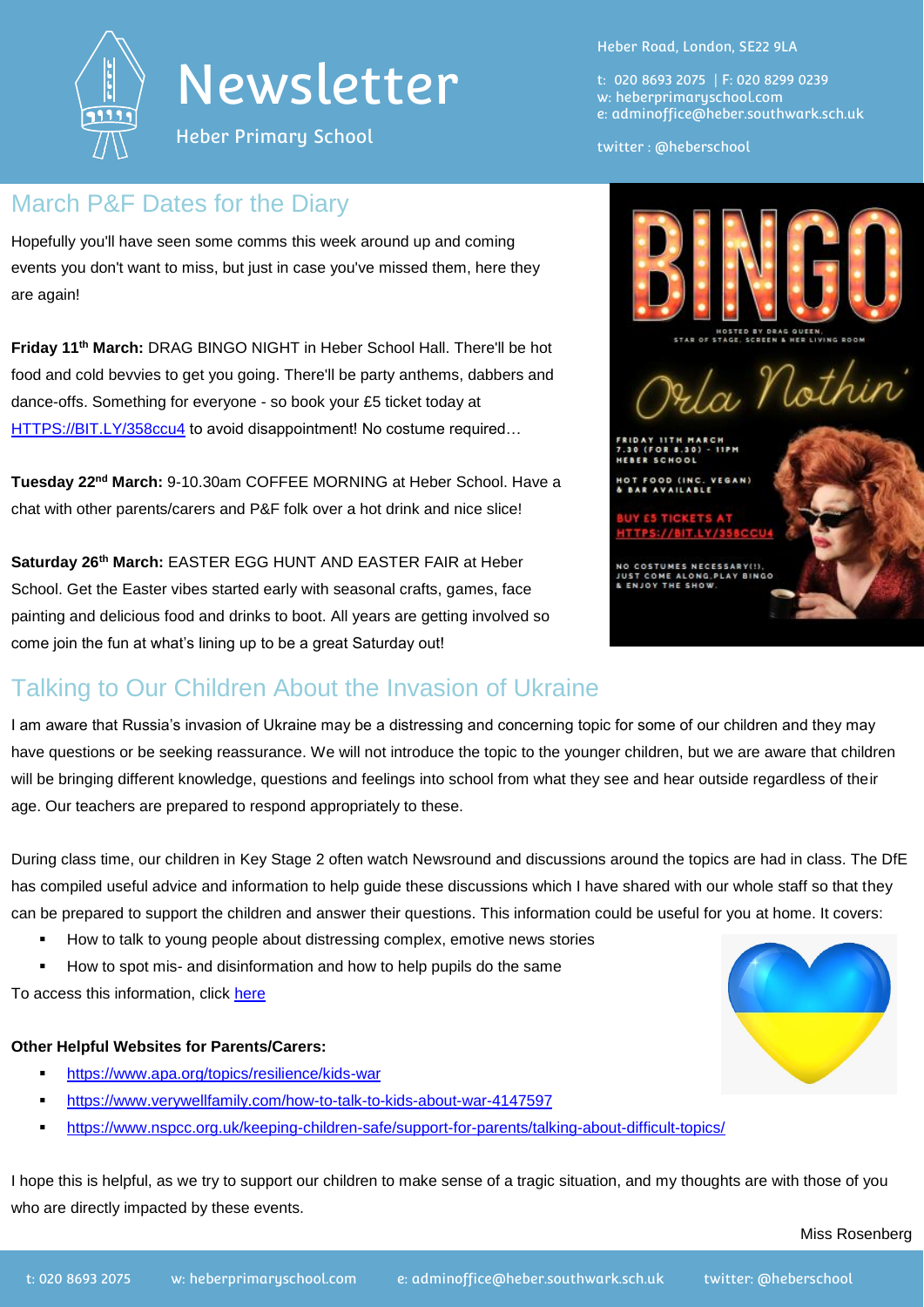

# Newsletter

Heber Primary School

## March P&F Dates for the Diary

Hopefully you'll have seen some comms this week around up and coming events you don't want to miss, but just in case you've missed them, here they are again!

**Friday 11th March:** DRAG BINGO NIGHT in Heber School Hall. There'll be hot food and cold bevvies to get you going. There'll be party anthems, dabbers and dance-offs. Something for everyone - so book your £5 ticket today at [HTTPS://BIT.LY/358ccu4](https://bit.ly/358ccu4) to avoid disappointment! No costume required...

**Tuesday 22nd March:** 9-10.30am COFFEE MORNING at Heber School. Have a chat with other parents/carers and P&F folk over a hot drink and nice slice!

**Saturday 26th March:** EASTER EGG HUNT AND EASTER FAIR at Heber School. Get the Easter vibes started early with seasonal crafts, games, face painting and delicious food and drinks to boot. All years are getting involved so come join the fun at what's lining up to be a great Saturday out!

## Talking to Our Children About the Invasion of Ukraine

I am aware that Russia's invasion of Ukraine may be a distressing and concerning topic for some of our children and they may have questions or be seeking reassurance. We will not introduce the topic to the younger children, but we are aware that children will be bringing different knowledge, questions and feelings into school from what they see and hear outside regardless of their age. Our teachers are prepared to respond appropriately to these.

During class time, our children in Key Stage 2 often watch Newsround and discussions around the topics are had in class. The DfE has compiled useful advice and information to help guide these discussions which I have shared with our whole staff so that they can be prepared to support the children and answer their questions. This information could be useful for you at home. It covers:

- How to talk to young people about distressing complex, emotive news stories
- How to spot mis- and disinformation and how to help pupils do the same

To access this information, click [here](https://educationhub.blog.gov.uk/2022/02/25/help-for-teachers-and-families-to-talk-to-pupils-about-russias-invasion-of-ukraine-and-how-to-help-them-avoid-misinformation/)

### **Other Helpful Websites for Parents/Carers:**

- <https://www.apa.org/topics/resilience/kids-war>
- <https://www.verywellfamily.com/how-to-talk-to-kids-about-war-4147597>
- <https://www.nspcc.org.uk/keeping-children-safe/support-for-parents/talking-about-difficult-topics/>

I hope this is helpful, as we try to support our children to make sense of a tragic situation, and my thoughts are with those of you who are directly impacted by these events.

t: 020 8693 2075 | F: 020 8299 0239 w: heberprimaryschool.com e: [adminoffice@heber.southwark.sch.uk](mailto:adminoffice@heber.southwark.sch.uk)

### twitter : @heberschool

Orla Nothin

FREE SCHOOL FOOD (INC. VEGAN

NO COSTUMES NECESSARY(!),<br>JUST COME ALONG,PLAY BINGO<br>& ENJOY THE SHOW.

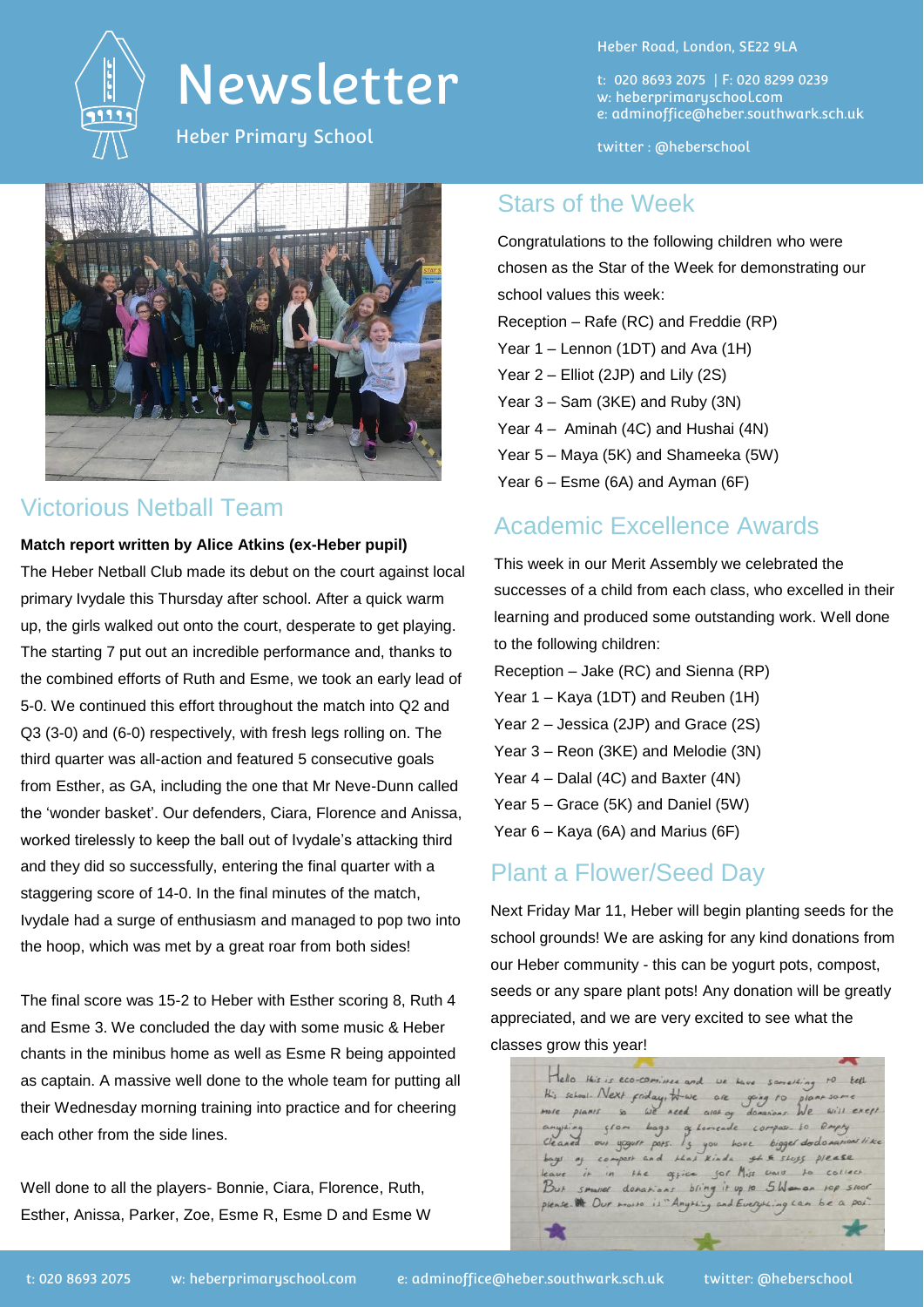

## Newsletter

Heber Primary School



## Victorious Netball Team

#### **Match report written by Alice Atkins (ex-Heber pupil)**

The Heber Netball Club made its debut on the court against local primary Ivydale this Thursday after school. After a quick warm up, the girls walked out onto the court, desperate to get playing. The starting 7 put out an incredible performance and, thanks to the combined efforts of Ruth and Esme, we took an early lead of 5-0. We continued this effort throughout the match into Q2 and Q3 (3-0) and (6-0) respectively, with fresh legs rolling on. The third quarter was all-action and featured 5 consecutive goals from Esther, as GA, including the one that Mr Neve-Dunn called the 'wonder basket'. Our defenders, Ciara, Florence and Anissa, worked tirelessly to keep the ball out of Ivydale's attacking third and they did so successfully, entering the final quarter with a staggering score of 14-0. In the final minutes of the match, Ivydale had a surge of enthusiasm and managed to pop two into the hoop, which was met by a great roar from both sides!

The final score was 15-2 to Heber with Esther scoring 8, Ruth 4 and Esme 3. We concluded the day with some music & Heber chants in the minibus home as well as Esme R being appointed as captain. A massive well done to the whole team for putting all their Wednesday morning training into practice and for cheering each other from the side lines.

Well done to all the players- Bonnie, Ciara, Florence, Ruth, Esther, Anissa, Parker, Zoe, Esme R, Esme D and Esme W Heber Road, London, SE22 9LA

t: 020 8693 2075 | F: 020 8299 0239 w: heberprimaryschool.com e: [adminoffice@heber.southwark.sch.uk](mailto:adminoffice@heber.southwark.sch.uk)

twitter : @heberschool

### Stars of the Week

Congratulations to the following children who were chosen as the Star of the Week for demonstrating our school values this week: Reception – Rafe (RC) and Freddie (RP) Year 1 – Lennon (1DT) and Ava (1H) Year 2 – Elliot (2JP) and Lily (2S) Year 3 – Sam (3KE) and Ruby (3N) Year 4 – Aminah (4C) and Hushai (4N) Year 5 – Maya (5K) and Shameeka (5W) Year 6 – Esme (6A) and Ayman (6F)

## Academic Excellence Awards

This week in our Merit Assembly we celebrated the successes of a child from each class, who excelled in their learning and produced some outstanding work. Well done to the following children:

Reception – Jake (RC) and Sienna (RP) Year 1 – Kaya (1DT) and Reuben (1H) Year 2 – Jessica (2JP) and Grace (2S) Year 3 – Reon (3KE) and Melodie (3N) Year 4 – Dalal (4C) and Baxter (4N)

Year 5 – Grace (5K) and Daniel (5W)

Year 6 – Kaya (6A) and Marius (6F)

## Plant a Flower/Seed Day

Next Friday Mar 11, Heber will begin planting seeds for the school grounds! We are asking for any kind donations from our Heber community - this can be yogurt pots, compost, seeds or any spare plant pots! Any donation will be greatly appreciated, and we are very excited to see what the classes grow this year!

Hello this is eco-cominee and His school. Next friday, He we are going to need aret of  $with~exept$ g Lomende sr. Lo Empty bigger dodo  $1<sub>5</sub>$ sor Miss ward office  $bring it up to 5  $W_{\text{max}}$$ please. We Our morre is "An